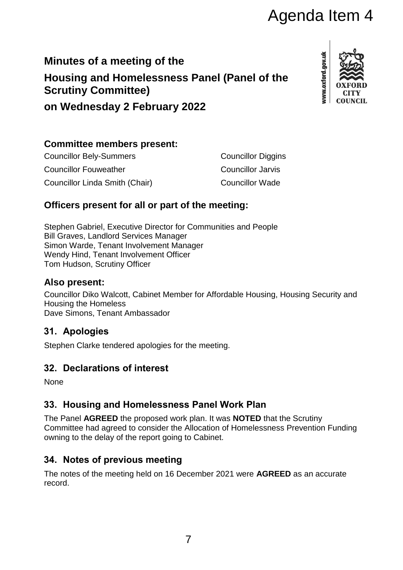# Agenda Item 4

## **Minutes of a meeting of the Housing and Homelessness Panel (Panel of the Scrutiny Committee)**



**on Wednesday 2 February 2022**

## **Committee members present:**

| <b>Councillor Bely-Summers</b> | <b>Councillor Diggins</b> |
|--------------------------------|---------------------------|
| <b>Councillor Fouweather</b>   | Councillor Jarvis         |
| Councillor Linda Smith (Chair) | <b>Councillor Wade</b>    |

## **Officers present for all or part of the meeting:**

Stephen Gabriel, Executive Director for Communities and People Bill Graves, Landlord Services Manager Simon Warde, Tenant Involvement Manager Wendy Hind, Tenant Involvement Officer Tom Hudson, Scrutiny Officer

## **Also present:**

Councillor Diko Walcott, Cabinet Member for Affordable Housing, Housing Security and Housing the Homeless Dave Simons, Tenant Ambassador

## **31. Apologies**

Stephen Clarke tendered apologies for the meeting.

## **32. Declarations of interest**

None

## **33. Housing and Homelessness Panel Work Plan**

The Panel **AGREED** the proposed work plan. It was **NOTED** that the Scrutiny Committee had agreed to consider the Allocation of Homelessness Prevention Funding owning to the delay of the report going to Cabinet.

## **34. Notes of previous meeting**

The notes of the meeting held on 16 December 2021 were **AGREED** as an accurate record.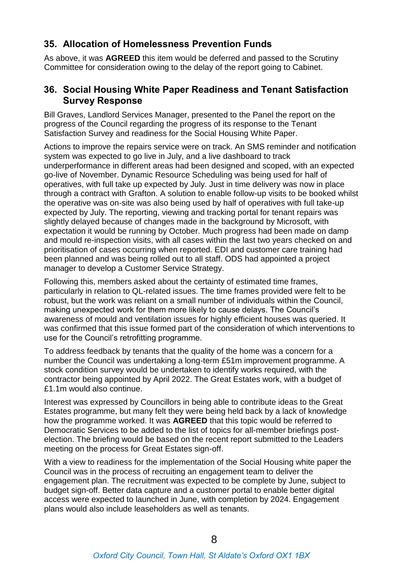## **35. Allocation of Homelessness Prevention Funds**

As above, it was **AGREED** this item would be deferred and passed to the Scrutiny Committee for consideration owing to the delay of the report going to Cabinet.

#### **36. Social Housing White Paper Readiness and Tenant Satisfaction Survey Response**

Bill Graves, Landlord Services Manager, presented to the Panel the report on the progress of the Council regarding the progress of its response to the Tenant Satisfaction Survey and readiness for the Social Housing White Paper.

Actions to improve the repairs service were on track. An SMS reminder and notification system was expected to go live in July, and a live dashboard to track underperformance in different areas had been designed and scoped, with an expected go-live of November. Dynamic Resource Scheduling was being used for half of operatives, with full take up expected by July. Just in time delivery was now in place through a contract with Grafton. A solution to enable follow-up visits to be booked whilst the operative was on-site was also being used by half of operatives with full take-up expected by July. The reporting, viewing and tracking portal for tenant repairs was slightly delayed because of changes made in the background by Microsoft, with expectation it would be running by October. Much progress had been made on damp and mould re-inspection visits, with all cases within the last two years checked on and prioritisation of cases occurring when reported. EDI and customer care training had been planned and was being rolled out to all staff. ODS had appointed a project manager to develop a Customer Service Strategy.

Following this, members asked about the certainty of estimated time frames, particularly in relation to QL-related issues. The time frames provided were felt to be robust, but the work was reliant on a small number of individuals within the Council, making unexpected work for them more likely to cause delays. The Council's awareness of mould and ventilation issues for highly efficient houses was queried. It was confirmed that this issue formed part of the consideration of which interventions to use for the Council's retrofitting programme.

To address feedback by tenants that the quality of the home was a concern for a number the Council was undertaking a long-term £51m improvement programme. A stock condition survey would be undertaken to identify works required, with the contractor being appointed by April 2022. The Great Estates work, with a budget of £1.1m would also continue.

Interest was expressed by Councillors in being able to contribute ideas to the Great Estates programme, but many felt they were being held back by a lack of knowledge how the programme worked. It was **AGREED** that this topic would be referred to Democratic Services to be added to the list of topics for all-member briefings postelection. The briefing would be based on the recent report submitted to the Leaders meeting on the process for Great Estates sign-off.

With a view to readiness for the implementation of the Social Housing white paper the Council was in the process of recruiting an engagement team to deliver the engagement plan. The recruitment was expected to be complete by June, subject to budget sign-off. Better data capture and a customer portal to enable better digital access were expected to launched in June, with completion by 2024. Engagement plans would also include leaseholders as well as tenants.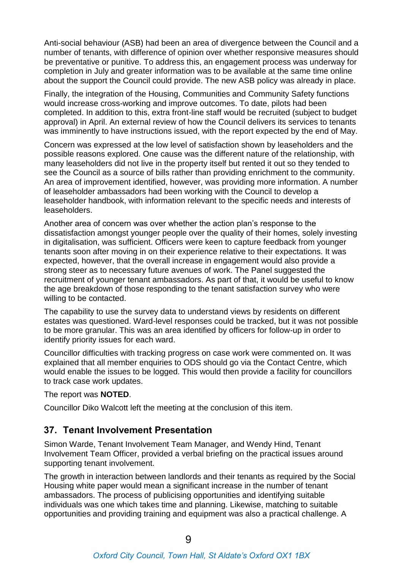Anti-social behaviour (ASB) had been an area of divergence between the Council and a number of tenants, with difference of opinion over whether responsive measures should be preventative or punitive. To address this, an engagement process was underway for completion in July and greater information was to be available at the same time online about the support the Council could provide. The new ASB policy was already in place.

Finally, the integration of the Housing, Communities and Community Safety functions would increase cross-working and improve outcomes. To date, pilots had been completed. In addition to this, extra front-line staff would be recruited (subject to budget approval) in April. An external review of how the Council delivers its services to tenants was imminently to have instructions issued, with the report expected by the end of May.

Concern was expressed at the low level of satisfaction shown by leaseholders and the possible reasons explored. One cause was the different nature of the relationship, with many leaseholders did not live in the property itself but rented it out so they tended to see the Council as a source of bills rather than providing enrichment to the community. An area of improvement identified, however, was providing more information. A number of leaseholder ambassadors had been working with the Council to develop a leaseholder handbook, with information relevant to the specific needs and interests of leaseholders.

Another area of concern was over whether the action plan's response to the dissatisfaction amongst younger people over the quality of their homes, solely investing in digitalisation, was sufficient. Officers were keen to capture feedback from younger tenants soon after moving in on their experience relative to their expectations. It was expected, however, that the overall increase in engagement would also provide a strong steer as to necessary future avenues of work. The Panel suggested the recruitment of younger tenant ambassadors. As part of that, it would be useful to know the age breakdown of those responding to the tenant satisfaction survey who were willing to be contacted.

The capability to use the survey data to understand views by residents on different estates was questioned. Ward-level responses could be tracked, but it was not possible to be more granular. This was an area identified by officers for follow-up in order to identify priority issues for each ward.

Councillor difficulties with tracking progress on case work were commented on. It was explained that all member enquiries to ODS should go via the Contact Centre, which would enable the issues to be logged. This would then provide a facility for councillors to track case work updates.

The report was **NOTED**.

Councillor Diko Walcott left the meeting at the conclusion of this item.

#### **37. Tenant Involvement Presentation**

Simon Warde, Tenant Involvement Team Manager, and Wendy Hind, Tenant Involvement Team Officer, provided a verbal briefing on the practical issues around supporting tenant involvement.

The growth in interaction between landlords and their tenants as required by the Social Housing white paper would mean a significant increase in the number of tenant ambassadors. The process of publicising opportunities and identifying suitable individuals was one which takes time and planning. Likewise, matching to suitable opportunities and providing training and equipment was also a practical challenge. A